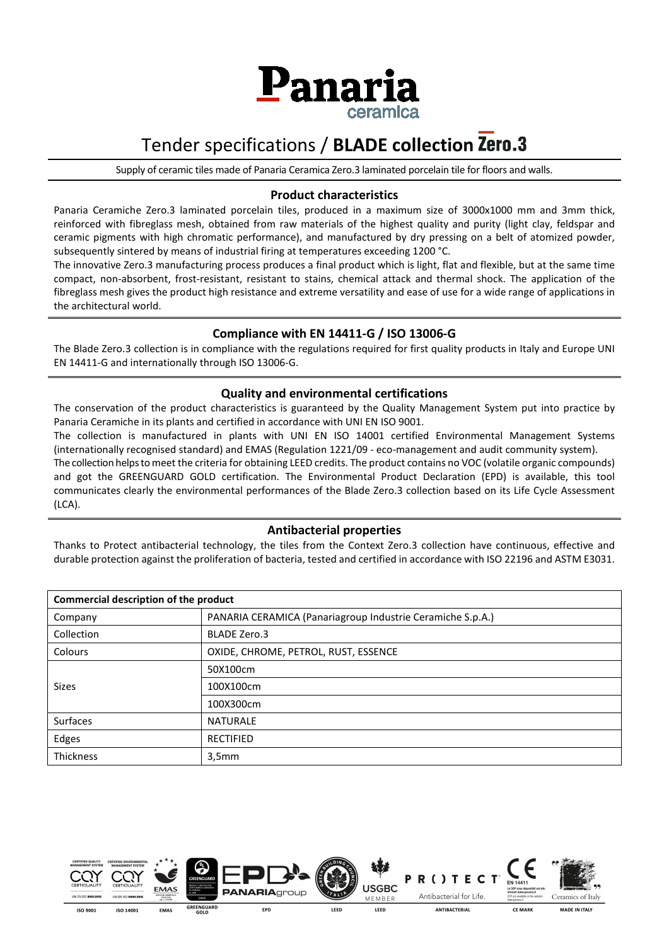

## Tender specifications / **BLADE collection**

Supply of ceramic tiles made of Panaria Ceramica Zero.3 laminated porcelain tile for floors and walls.

#### **Product characteristics**

Panaria Ceramiche Zero.3 laminated porcelain tiles, produced in a maximum size of 3000x1000 mm and 3mm thick, reinforced with fibreglass mesh, obtained from raw materials of the highest quality and purity (light clay, feldspar and ceramic pigments with high chromatic performance), and manufactured by dry pressing on a belt of atomized powder, subsequently sintered by means of industrial firing at temperatures exceeding 1200 °C.

The innovative Zero.3 manufacturing process produces a final product which is light, flat and flexible, but at the same time compact, non-absorbent, frost-resistant, resistant to stains, chemical attack and thermal shock. The application of the fibreglass mesh gives the product high resistance and extreme versatility and ease of use for a wide range of applications in the architectural world.

#### **Compliance with EN 14411-G / ISO 13006-G**

The Blade Zero.3 collection is in compliance with the regulations required for first quality products in Italy and Europe UNI EN 14411-G and internationally through ISO 13006-G.

#### **Quality and environmental certifications**

The conservation of the product characteristics is guaranteed by the Quality Management System put into practice by Panaria Ceramiche in its plants and certified in accordance with UNI EN ISO 9001.

The collection is manufactured in plants with UNI EN ISO 14001 certified Environmental Management Systems (internationally recognised standard) and EMAS (Regulation 1221/09 - eco-management and audit community system). The collection helps to meet the criteria for obtaining LEED credits. The product contains no VOC (volatile organic compounds) and got the GREENGUARD GOLD certification. The Environmental Product Declaration (EPD) is available, this tool communicates clearly the environmental performances of the Blade Zero.3 collection based on its Life Cycle Assessment

#### **Antibacterial properties**

(LCA).

Thanks to Protect antibacterial technology, the tiles from the Context Zero.3 collection have continuous, effective and durable protection against the proliferation of bacteria, tested and certified in accordance with ISO 22196 and ASTM E3031.

| Commercial description of the product |                                                            |  |  |  |
|---------------------------------------|------------------------------------------------------------|--|--|--|
| Company                               | PANARIA CERAMICA (Panariagroup Industrie Ceramiche S.p.A.) |  |  |  |
| Collection                            | <b>BLADE Zero.3</b>                                        |  |  |  |
| Colours                               | OXIDE, CHROME, PETROL, RUST, ESSENCE                       |  |  |  |
|                                       | 50X100cm                                                   |  |  |  |
| <b>Sizes</b>                          | 100X100cm                                                  |  |  |  |
|                                       | 100X300cm                                                  |  |  |  |
| <b>Surfaces</b>                       | <b>NATURALE</b>                                            |  |  |  |
| Edges                                 | <b>RECTIFIED</b>                                           |  |  |  |
| Thickness                             | 3,5mm                                                      |  |  |  |